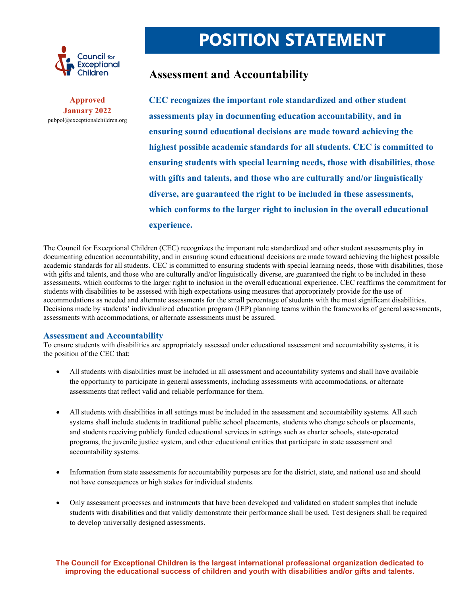

**Approved January 2022**  pubpol@exceptionalchildren.org

## **POSITION STATEMENT**

## **Assessment and Accountability**

**CEC recognizes the important role standardized and other student assessments play in documenting education accountability, and in ensuring sound educational decisions are made toward achieving the highest possible academic standards for all students. CEC is committed to ensuring students with special learning needs, those with disabilities, those with gifts and talents, and those who are culturally and/or linguistically diverse, are guaranteed the right to be included in these assessments, which conforms to the larger right to inclusion in the overall educational experience.** 

The Council for Exceptional Children (CEC) recognizes the important role standardized and other student assessments play in documenting education accountability, and in ensuring sound educational decisions are made toward achieving the highest possible academic standards for all students. CEC is committed to ensuring students with special learning needs, those with disabilities, those with gifts and talents, and those who are culturally and/or linguistically diverse, are guaranteed the right to be included in these assessments, which conforms to the larger right to inclusion in the overall educational experience. CEC reaffirms the commitment for students with disabilities to be assessed with high expectations using measures that appropriately provide for the use of accommodations as needed and alternate assessments for the small percentage of students with the most significant disabilities. Decisions made by students' individualized education program (IEP) planning teams within the frameworks of general assessments, assessments with accommodations, or alternate assessments must be assured.

## **Assessment and Accountability**

To ensure students with disabilities are appropriately assessed under educational assessment and accountability systems, it is the position of the CEC that:

- All students with disabilities must be included in all assessment and accountability systems and shall have available the opportunity to participate in general assessments, including assessments with accommodations, or alternate assessments that reflect valid and reliable performance for them.
- All students with disabilities in all settings must be included in the assessment and accountability systems. All such systems shall include students in traditional public school placements, students who change schools or placements, and students receiving publicly funded educational services in settings such as charter schools, state-operated programs, the juvenile justice system, and other educational entities that participate in state assessment and accountability systems.
- Information from state assessments for accountability purposes are for the district, state, and national use and should not have consequences or high stakes for individual students.
- Only assessment processes and instruments that have been developed and validated on student samples that include students with disabilities and that validly demonstrate their performance shall be used. Test designers shall be required to develop universally designed assessments.